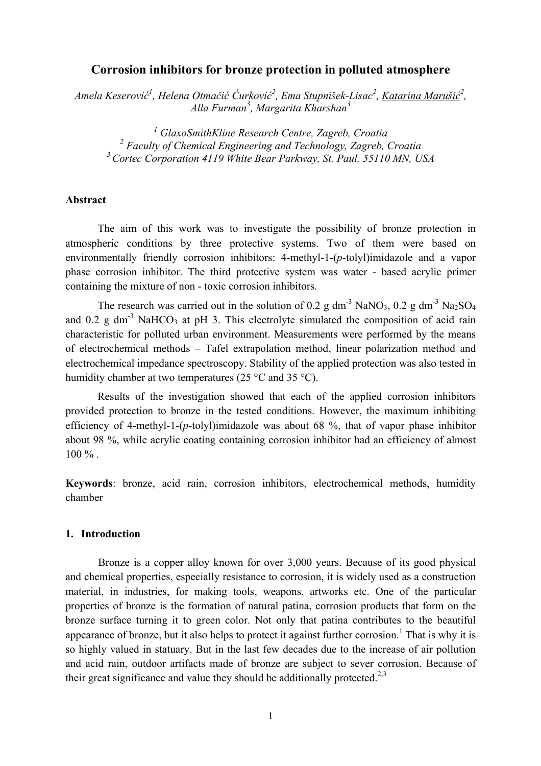# **Corrosion inhibitors for bronze protection in polluted atmosphere**

*Amela Keserović 1 , Helena Otmačić Ćurković 2 , Ema Stupnišek-Lisac2 , Katarina Marušić 2 , Alla Furman<sup>3</sup> , Margarita Kharshan3* 

*1 GlaxoSmithKline Research Centre, Zagreb, Croatia 2 Faculty of Chemical Engineering and Technology, Zagreb, Croatia 3 Cortec Corporation 4119 White Bear Parkway, St. Paul, 55110 MN, USA* 

## **Abstract**

 The aim of this work was to investigate the possibility of bronze protection in atmospheric conditions by three protective systems. Two of them were based on environmentally friendly corrosion inhibitors: 4-methyl-1-(*p*-tolyl)imidazole and a vapor phase corrosion inhibitor. The third protective system was water - based acrylic primer containing the mixture of non - toxic corrosion inhibitors.

The research was carried out in the solution of 0.2 g dm<sup>-3</sup> NaNO<sub>3</sub>, 0.2 g dm<sup>-3</sup> Na<sub>2</sub>SO<sub>4</sub> and 0.2 g dm<sup>-3</sup> NaHCO<sub>3</sub> at pH 3. This electrolyte simulated the composition of acid rain characteristic for polluted urban environment. Measurements were performed by the means of electrochemical methods – Tafel extrapolation method, linear polarization method and electrochemical impedance spectroscopy. Stability of the applied protection was also tested in humidity chamber at two temperatures (25 °C and 35 °C).

 Results of the investigation showed that each of the applied corrosion inhibitors provided protection to bronze in the tested conditions. However, the maximum inhibiting efficiency of 4-methyl-1-(*p*-tolyl)imidazole was about 68 %, that of vapor phase inhibitor about 98 %, while acrylic coating containing corrosion inhibitor had an efficiency of almost  $100 \%$ 

**Keywords**: bronze, acid rain, corrosion inhibitors, electrochemical methods, humidity chamber

### **1. Introduction**

Bronze is a copper alloy known for over 3,000 years. Because of its good physical and chemical properties, especially resistance to corrosion, it is widely used as a construction material, in industries, for making tools, weapons, artworks etc. One of the particular properties of bronze is the formation of natural patina, corrosion products that form on the bronze surface turning it to green color. Not only that patina contributes to the beautiful appearance of bronze, but it also helps to protect it against further corrosion.<sup>1</sup> That is why it is so highly valued in statuary. But in the last few decades due to the increase of air pollution and acid rain, outdoor artifacts made of bronze are subject to sever corrosion. Because of their great significance and value they should be additionally protected.<sup>2,3</sup>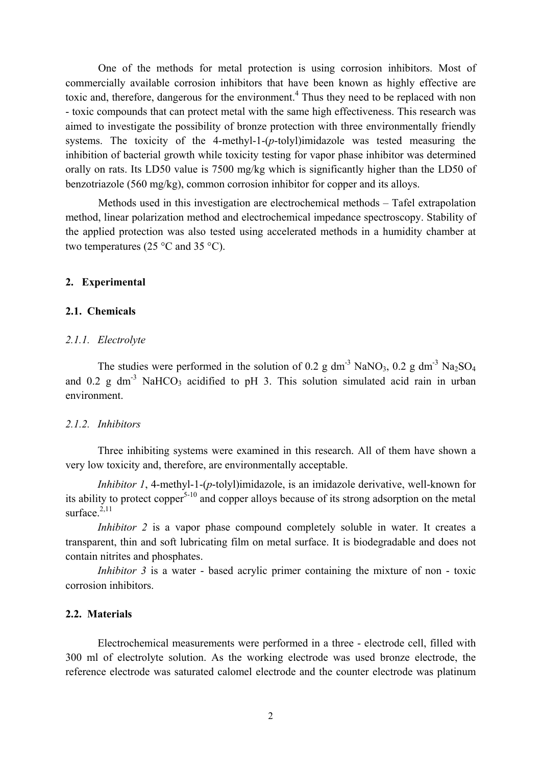One of the methods for metal protection is using corrosion inhibitors. Most of commercially available corrosion inhibitors that have been known as highly effective are toxic and, therefore, dangerous for the environment.<sup>4</sup> Thus they need to be replaced with non - toxic compounds that can protect metal with the same high effectiveness. This research was aimed to investigate the possibility of bronze protection with three environmentally friendly systems. The toxicity of the 4-methyl-1-(*p*-tolyl)imidazole was tested measuring the inhibition of bacterial growth while toxicity testing for vapor phase inhibitor was determined orally on rats. Its LD50 value is 7500 mg/kg which is significantly higher than the LD50 of benzotriazole (560 mg/kg), common corrosion inhibitor for copper and its alloys.

Methods used in this investigation are electrochemical methods – Tafel extrapolation method, linear polarization method and electrochemical impedance spectroscopy. Stability of the applied protection was also tested using accelerated methods in a humidity chamber at two temperatures (25 $\degree$ C and 35 $\degree$ C).

#### **2. Experimental**

## **2.1. Chemicals**

### *2.1.1. Electrolyte*

The studies were performed in the solution of 0.2 g dm<sup>-3</sup> NaNO<sub>3</sub>, 0.2 g dm<sup>-3</sup> Na<sub>2</sub>SO<sub>4</sub> and  $0.2$  g dm<sup>-3</sup> NaHCO<sub>3</sub> acidified to pH 3. This solution simulated acid rain in urban environment.

## *2.1.2. Inhibitors*

 Three inhibiting systems were examined in this research. All of them have shown a very low toxicity and, therefore, are environmentally acceptable.

 *Inhibitor 1*, 4-methyl-1-(*p*-tolyl)imidazole, is an imidazole derivative, well-known for its ability to protect copper $5-10$  and copper alloys because of its strong adsorption on the metal surface  $^{2,11}$ 

*Inhibitor 2* is a vapor phase compound completely soluble in water. It creates a transparent, thin and soft lubricating film on metal surface. It is biodegradable and does not contain nitrites and phosphates.

*Inhibitor 3* is a water - based acrylic primer containing the mixture of non - toxic corrosion inhibitors.

# **2.2. Materials**

Electrochemical measurements were performed in a three - electrode cell, filled with 300 ml of electrolyte solution. As the working electrode was used bronze electrode, the reference electrode was saturated calomel electrode and the counter electrode was platinum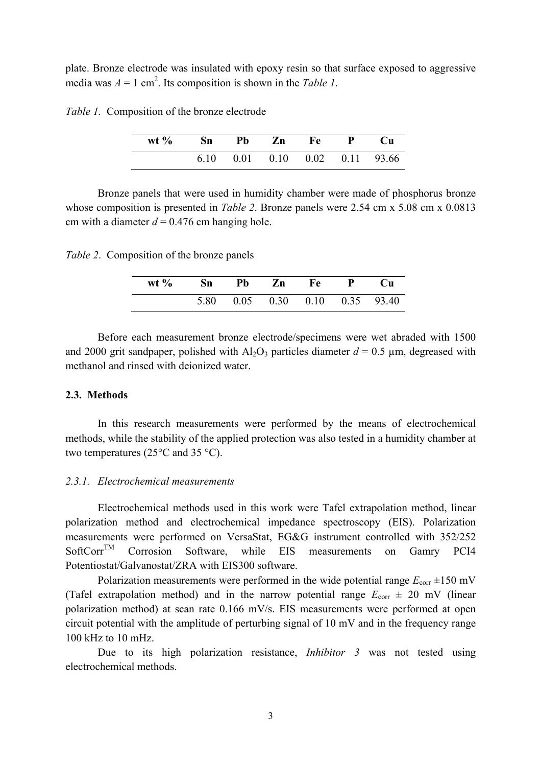plate. Bronze electrode was insulated with epoxy resin so that surface exposed to aggressive media was  $A = 1$  cm<sup>2</sup>. Its composition is shown in the *Table 1*.

*Table 1.* Composition of the bronze electrode

| wt % Sn Pb Zn Fe P Cu |  |                                            |  |  |
|-----------------------|--|--------------------------------------------|--|--|
|                       |  | $6.10$ $0.01$ $0.10$ $0.02$ $0.11$ $93.66$ |  |  |

 Bronze panels that were used in humidity chamber were made of phosphorus bronze whose composition is presented in *Table 2*. Bronze panels were 2.54 cm x 5.08 cm x 0.0813 cm with a diameter  $d = 0.476$  cm hanging hole.

*Table 2*. Composition of the bronze panels

| wt % Sn Pb Zn Fe P Cu |  |                                     |  |
|-----------------------|--|-------------------------------------|--|
|                       |  | 5.80  0.05  0.30  0.10  0.35  93.40 |  |

 Before each measurement bronze electrode/specimens were wet abraded with 1500 and 2000 grit sandpaper, polished with  $Al_2O_3$  particles diameter  $d = 0.5 \mu m$ , degreased with methanol and rinsed with deionized water.

## **2.3. Methods**

In this research measurements were performed by the means of electrochemical methods, while the stability of the applied protection was also tested in a humidity chamber at two temperatures (25°C and 35 °C).

## *2.3.1. Electrochemical measurements*

Electrochemical methods used in this work were Tafel extrapolation method, linear polarization method and electrochemical impedance spectroscopy (EIS). Polarization measurements were performed on VersaStat, EG&G instrument controlled with 352/252 SoftCorr<sup>TM</sup> Corrosion Software, while EIS measurements on Gamry PCI4 Potentiostat/Galvanostat/ZRA with EIS300 software.

Polarization measurements were performed in the wide potential range  $E_{\text{corr}}$   $\pm 150$  mV (Tafel extrapolation method) and in the narrow potential range  $E_{\text{corr}} \pm 20$  mV (linear polarization method) at scan rate 0.166 mV/s. EIS measurements were performed at open circuit potential with the amplitude of perturbing signal of 10 mV and in the frequency range 100 kHz to 10 mHz.

Due to its high polarization resistance, *Inhibitor 3* was not tested using electrochemical methods.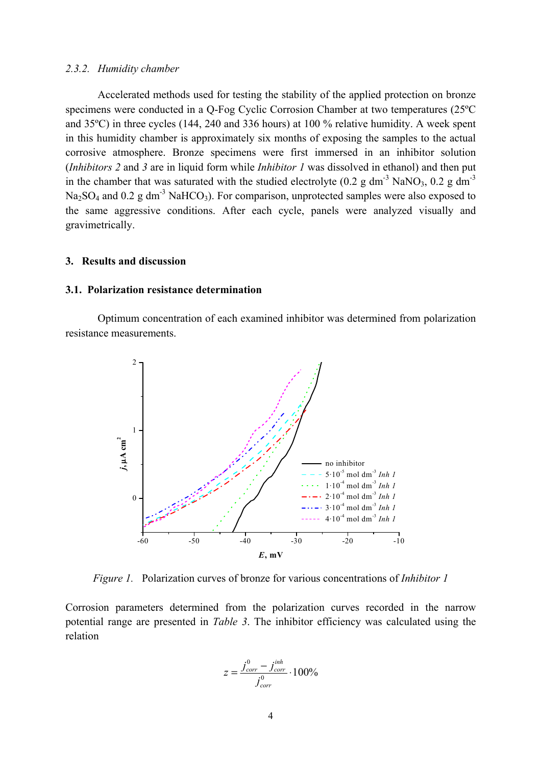#### *2.3.2. Humidity chamber*

Accelerated methods used for testing the stability of the applied protection on bronze specimens were conducted in a Q-Fog Cyclic Corrosion Chamber at two temperatures (25ºC and 35ºC) in three cycles (144, 240 and 336 hours) at 100 % relative humidity. A week spent in this humidity chamber is approximately six months of exposing the samples to the actual corrosive atmosphere. Bronze specimens were first immersed in an inhibitor solution (*Inhibitors 2* and *3* are in liquid form while *Inhibitor 1* was dissolved in ethanol) and then put in the chamber that was saturated with the studied electrolyte (0.2 g dm<sup>-3</sup> NaNO<sub>3</sub>, 0.2 g dm<sup>-3</sup>  $Na<sub>2</sub>SO<sub>4</sub>$  and 0.2 g dm<sup>-3</sup> NaHCO<sub>3</sub>). For comparison, unprotected samples were also exposed to the same aggressive conditions. After each cycle, panels were analyzed visually and gravimetrically.

#### **3. Results and discussion**

#### **3.1. Polarization resistance determination**

Optimum concentration of each examined inhibitor was determined from polarization resistance measurements.



*Figure 1.* Polarization curves of bronze for various concentrations of *Inhibitor 1*

Corrosion parameters determined from the polarization curves recorded in the narrow potential range are presented in *Table 3*. The inhibitor efficiency was calculated using the relation

$$
z = \frac{j_{corr}^0 - j_{corr}^{inh}}{j_{corr}^0} \cdot 100\%
$$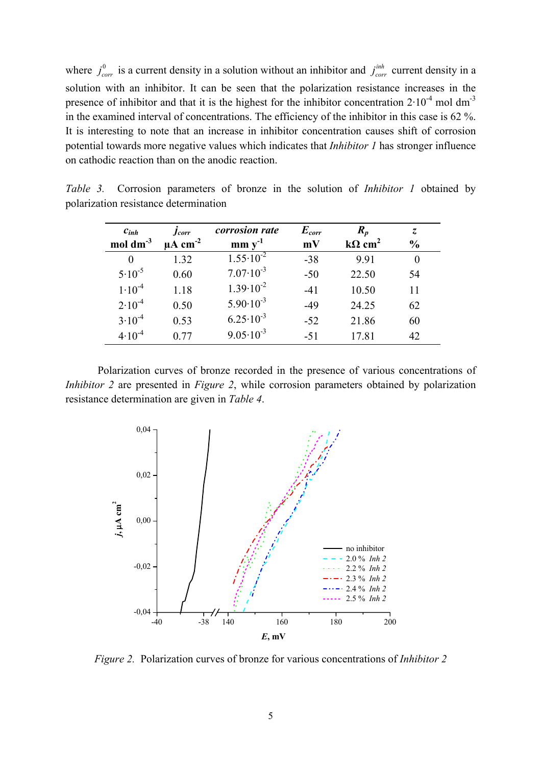where  $j_{corr}^0$  is a current density in a solution without an inhibitor and  $j_{corr}^{inh}$  current density in a solution with an inhibitor. It can be seen that the polarization resistance increases in the presence of inhibitor and that it is the highest for the inhibitor concentration  $2 \cdot 10^{-4}$  mol dm<sup>-3</sup> in the examined interval of concentrations. The efficiency of the inhibitor in this case is 62 %. It is interesting to note that an increase in inhibitor concentration causes shift of corrosion potential towards more negative values which indicates that *Inhibitor 1* has stronger influence on cathodic reaction than on the anodic reaction.

| $c_{inh}$     | <i>Jcorr</i>             | <i>corrosion rate</i> | $E_{corr}$ | $R_p$                     | $\overline{z}$ |
|---------------|--------------------------|-----------------------|------------|---------------------------|----------------|
| mol $dm^{-3}$ | $\mu A$ cm <sup>-2</sup> | $mm y^{-1}$           | mV         | $k\Omega$ cm <sup>2</sup> | $\frac{6}{9}$  |
|               | 1.32                     | $1.55 \cdot 10^{-2}$  | $-38$      | 9.91                      |                |
| $5.10^{-5}$   | 0.60                     | $7.07 \cdot 10^{-3}$  | $-50$      | 22.50                     | 54             |
| $1.10^{-4}$   | 1.18                     | $1.39 \cdot 10^{-2}$  | $-41$      | 10.50                     | 11             |
| $2.10^{-4}$   | 0.50                     | $5.90 \cdot 10^{-3}$  | $-49$      | 24.25                     | 62             |
| $3.10^{-4}$   | 0.53                     | $6.25 \cdot 10^{-3}$  | $-52$      | 21.86                     | 60             |
| $4.10^{-4}$   | 0.77                     | $9.05 \cdot 10^{-3}$  | $-51$      | 17.81                     | 42             |

*Table 3.* Corrosion parameters of bronze in the solution of *Inhibitor 1* obtained by polarization resistance determination

Polarization curves of bronze recorded in the presence of various concentrations of *Inhibitor 2* are presented in *Figure 2*, while corrosion parameters obtained by polarization resistance determination are given in *Table 4*.



*Figure 2.* Polarization curves of bronze for various concentrations of *Inhibitor 2*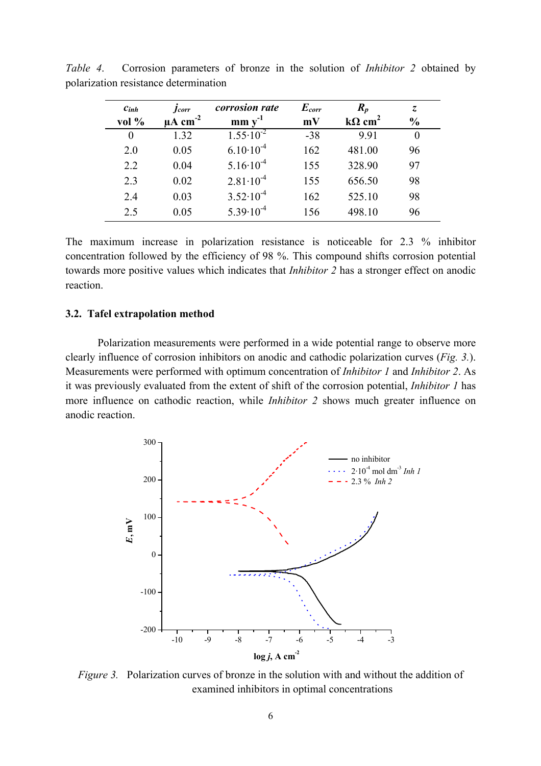| $c_{inh}$<br>vol % | <b>J</b> corr<br>$\mu A$ cm <sup>-2</sup> | corrosion rate<br>$mm y^{-1}$ | $E_{corr}$<br>mV | $R_p$<br>$k\Omega$ cm <sup>2</sup> | Z.<br>$\frac{0}{0}$ |  |
|--------------------|-------------------------------------------|-------------------------------|------------------|------------------------------------|---------------------|--|
| 0                  | 1.32                                      | $1.55 \cdot 10^{-2}$          | $-38$            | 9.91                               | 0                   |  |
| 2.0                | 0.05                                      | $6.10 \cdot 10^{-4}$          | 162              | 481.00                             | 96                  |  |
| 2.2                | 0.04                                      | $5.16 \cdot 10^{-4}$          | 155              | 328.90                             | 97                  |  |
| 2.3                | 0.02                                      | $2.81 \cdot 10^{-4}$          | 155              | 656.50                             | 98                  |  |
| 2.4                | 0.03                                      | $3.52 \cdot 10^{-4}$          | 162              | 525.10                             | 98                  |  |
| 2.5                | 0.05                                      | $5.39 \cdot 10^{-4}$          | 156              | 498.10                             | 96                  |  |

*Table 4*. Corrosion parameters of bronze in the solution of *Inhibitor 2* obtained by polarization resistance determination

The maximum increase in polarization resistance is noticeable for 2.3 % inhibitor concentration followed by the efficiency of 98 %. This compound shifts corrosion potential towards more positive values which indicates that *Inhibitor 2* has a stronger effect on anodic reaction.

### **3.2. Tafel extrapolation method**

Polarization measurements were performed in a wide potential range to observe more clearly influence of corrosion inhibitors on anodic and cathodic polarization curves (*Fig. 3.*). Measurements were performed with optimum concentration of *Inhibitor 1* and *Inhibitor 2*. As it was previously evaluated from the extent of shift of the corrosion potential, *Inhibitor 1* has more influence on cathodic reaction, while *Inhibitor 2* shows much greater influence on anodic reaction.



*Figure 3.* Polarization curves of bronze in the solution with and without the addition of examined inhibitors in optimal concentrations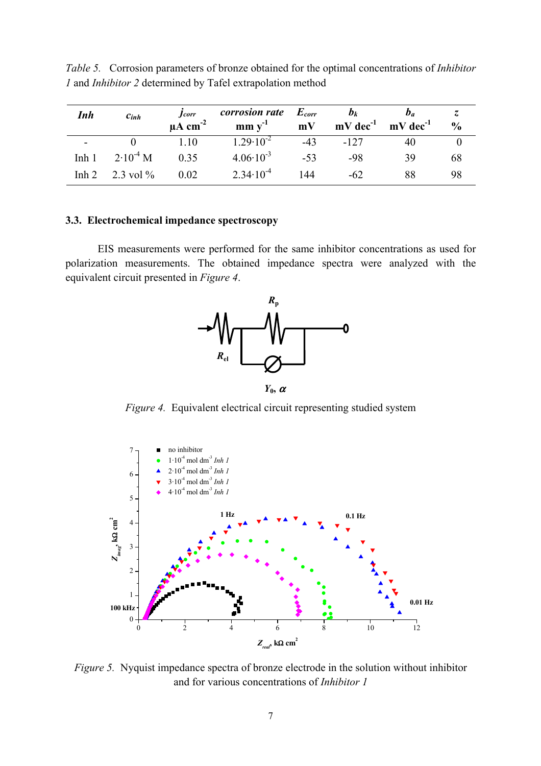| Inh              | $c_{inh}$     | <i>Jcorr</i><br>$\mu A$ cm <sup>-2</sup> | <i>corrosion rate</i> $E_{corr}$<br>$mm y^{-1}$ | mV    | $\bm{b}_k$<br>$mV$ dec <sup>-1</sup> $mV$ dec <sup>-1</sup> | D <sub>a</sub> | $\frac{0}{0}$ |
|------------------|---------------|------------------------------------------|-------------------------------------------------|-------|-------------------------------------------------------------|----------------|---------------|
| $\blacksquare$   |               | 1.10                                     | $1.29 \cdot 10^{-2}$                            | $-43$ | $-127$                                                      |                |               |
| Inh <sub>1</sub> | $2.10^{-4}$ M | 0.35                                     | $4.06 \cdot 10^{-3}$                            | $-53$ | -98                                                         | 39             | 68            |
| Inh $2-$         | 2.3 vol $\%$  | 0.02                                     | $2.34 \cdot 10^{-4}$                            | 144   | -62                                                         | 88             | 98            |

*Table 5.* Corrosion parameters of bronze obtained for the optimal concentrations of *Inhibitor 1* and *Inhibitor 2* determined by Tafel extrapolation method

## **3.3. Electrochemical impedance spectroscopy**

EIS measurements were performed for the same inhibitor concentrations as used for polarization measurements. The obtained impedance spectra were analyzed with the equivalent circuit presented in *Figure 4*.



 $Y_0$ ,  $\alpha$ 

*Figure 4.* Equivalent electrical circuit representing studied system



*Figure 5.* Nyquist impedance spectra of bronze electrode in the solution without inhibitor and for various concentrations of *Inhibitor 1*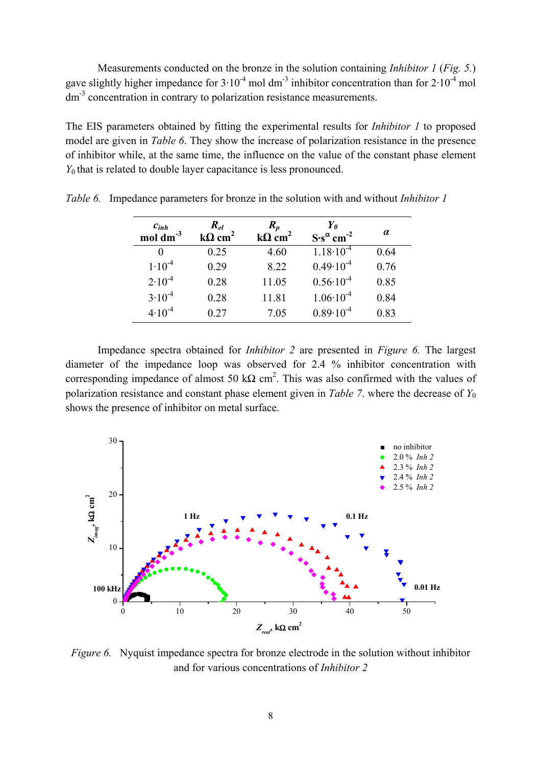Measurements conducted on the bronze in the solution containing *Inhibitor 1* (*Fig. 5.*) gave slightly higher impedance for  $3 \cdot 10^{-4}$  mol dm<sup>-3</sup> inhibitor concentration than for  $2 \cdot 10^{-4}$  mol dm<sup>-3</sup> concentration in contrary to polarization resistance measurements.

The EIS parameters obtained by fitting the experimental results for *Inhibitor 1* to proposed model are given in *Table 6*. They show the increase of polarization resistance in the presence of inhibitor while, at the same time, the influence on the value of the constant phase element *Y*<sub>0</sub> that is related to double layer capacitance is less pronounced.

| $c_{inh}$<br>$mol \, \text{dm}^{-3}$ | $R_{el}$<br>$k\Omega$ cm <sup>2</sup> | $R_p$<br>$k\Omega$ cm <sup>2</sup> | Yo<br>$S\cdot s^{\alpha}$ cm <sup>-2</sup> | $\alpha$ |
|--------------------------------------|---------------------------------------|------------------------------------|--------------------------------------------|----------|
|                                      | 0.25                                  | 4.60                               | $1.18 \cdot 10^{-4}$                       | 0.64     |
| $1.10^{-4}$                          | 0.29                                  | 8.22                               | $0.49 \cdot 10^{-4}$                       | 0.76     |
| $2.10^{-4}$                          | 0.28                                  | 11.05                              | $0.56 \cdot 10^{-4}$                       | 0.85     |
| $3.10^{-4}$                          | 0.28                                  | 11.81                              | $1.06 \cdot 10^{-4}$                       | 0.84     |
| $4.10^{-4}$                          | 0.27                                  | 7.05                               | $0.89 \cdot 10^{-4}$                       | 0.83     |

*Table 6.* Impedance parameters for bronze in the solution with and without *Inhibitor 1* 

Impedance spectra obtained for *Inhibitor 2* are presented in *Figure 6.* The largest diameter of the impedance loop was observed for 2.4 % inhibitor concentration with corresponding impedance of almost 50 kΩ cm<sup>2</sup>. This was also confirmed with the values of polarization resistance and constant phase element given in *Table 7*. where the decrease of *Y*<sup>0</sup> shows the presence of inhibitor on metal surface.



*Figure 6.* Nyquist impedance spectra for bronze electrode in the solution without inhibitor and for various concentrations of *Inhibitor 2*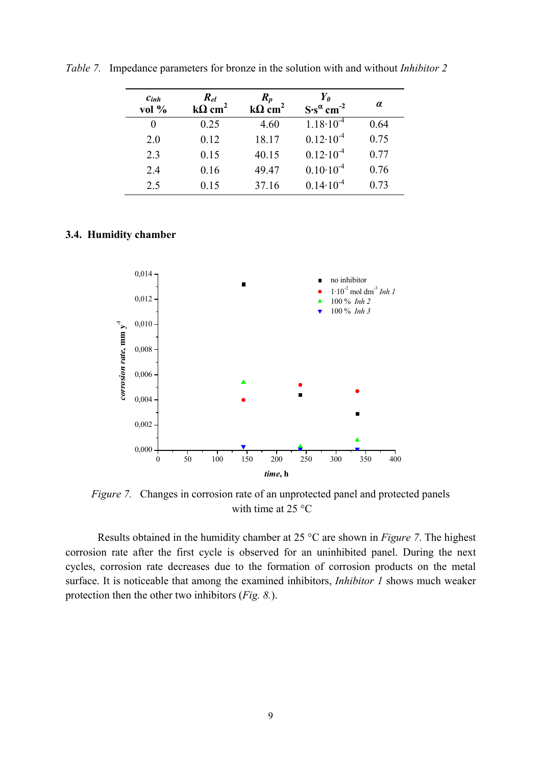| $c_{inh}$<br>vol % | $R_{el}$<br>$k\Omega$ cm <sup>2</sup> | $R_p$<br>$k\Omega$ cm <sup>2</sup> | $\boldsymbol{Y_0}$<br>$S\cdot s^{\alpha}$ cm <sup>-2</sup> | $\alpha$ |
|--------------------|---------------------------------------|------------------------------------|------------------------------------------------------------|----------|
|                    | 0.25                                  | 4.60                               | $1.18 \cdot 10^{-4}$                                       | 0.64     |
| 2.0                | 0.12                                  | 18.17                              | $0.12 \cdot 10^{-4}$                                       | 0.75     |
| 2.3                | 0.15                                  | 40.15                              | $0.12 \cdot 10^{-4}$                                       | 0.77     |
| 2.4                | 0.16                                  | 49.47                              | $0.10 \cdot 10^{-4}$                                       | 0.76     |
| 2.5                | 0.15                                  | 37.16                              | $0.14 \cdot 10^{-4}$                                       | 0.73     |

*Table 7.* Impedance parameters for bronze in the solution with and without *Inhibitor 2*

## **3.4. Humidity chamber**



*Figure 7.* Changes in corrosion rate of an unprotected panel and protected panels with time at 25 °C

Results obtained in the humidity chamber at 25 °C are shown in *Figure 7*. The highest corrosion rate after the first cycle is observed for an uninhibited panel. During the next cycles, corrosion rate decreases due to the formation of corrosion products on the metal surface. It is noticeable that among the examined inhibitors, *Inhibitor 1* shows much weaker protection then the other two inhibitors (*Fig. 8.*).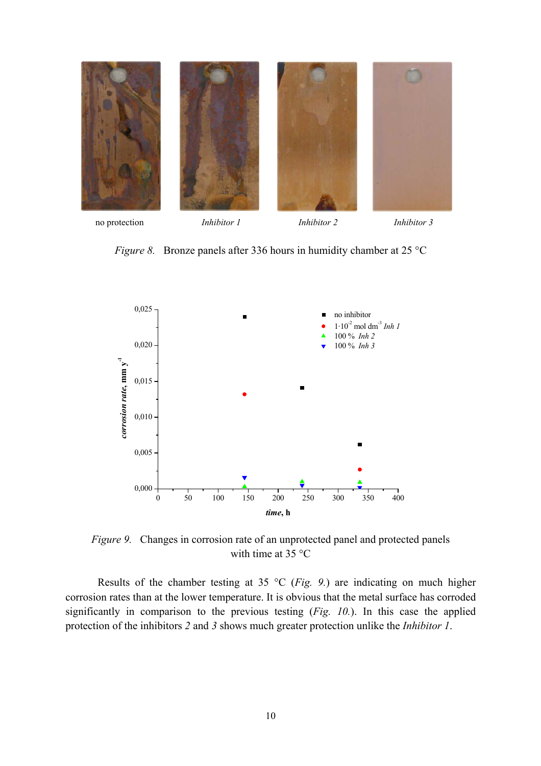

no protection *Inhibitor 1 Inhibitor 2 Inhibitor 3* no protection *Inhibitor 1 Inhibitor 2 Inhibitor 3* 

*Figure 8.* Bronze panels after 336 hours in humidity chamber at 25 °C



*Figure 9.* Changes in corrosion rate of an unprotected panel and protected panels with time at 35 °C

Results of the chamber testing at 35 °C (*Fig. 9.*) are indicating on much higher corrosion rates than at the lower temperature. It is obvious that the metal surface has corroded significantly in comparison to the previous testing (*Fig. 10.*). In this case the applied protection of the inhibitors *2* and *3* shows much greater protection unlike the *Inhibitor 1*.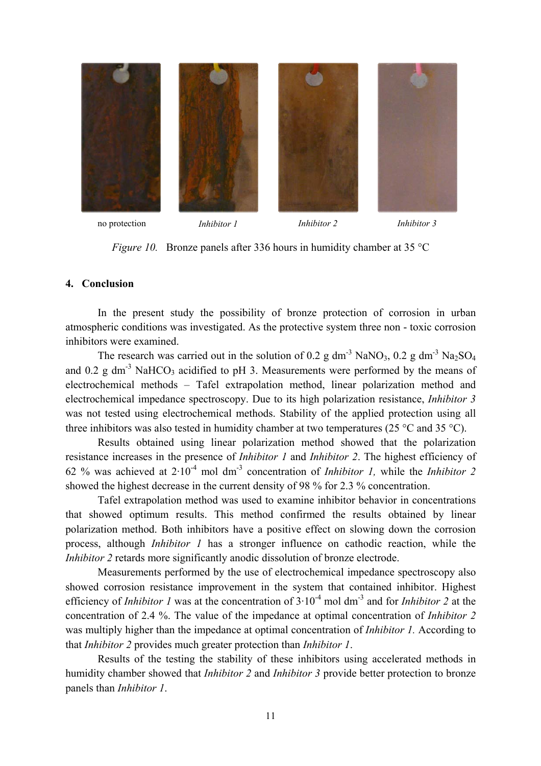

*Figure 10.* Bronze panels after 336 hours in humidity chamber at 35 °C

## **4. Conclusion**

 In the present study the possibility of bronze protection of corrosion in urban atmospheric conditions was investigated. As the protective system three non - toxic corrosion inhibitors were examined.

The research was carried out in the solution of 0.2 g dm<sup>-3</sup> NaNO<sub>3</sub>, 0.2 g dm<sup>-3</sup> Na<sub>2</sub>SO<sub>4</sub> and 0.2 g dm<sup>-3</sup> NaHCO<sub>3</sub> acidified to pH 3. Measurements were performed by the means of electrochemical methods – Tafel extrapolation method, linear polarization method and electrochemical impedance spectroscopy. Due to its high polarization resistance, *Inhibitor 3* was not tested using electrochemical methods. Stability of the applied protection using all three inhibitors was also tested in humidity chamber at two temperatures (25  $\degree$ C and 35  $\degree$ C).

 Results obtained using linear polarization method showed that the polarization resistance increases in the presence of *Inhibitor 1* and *Inhibitor 2*. The highest efficiency of 62 % was achieved at  $2.10^{-4}$  mol dm<sup>-3</sup> concentration of *Inhibitor 1*, while the *Inhibitor 2* showed the highest decrease in the current density of 98 % for 2.3 % concentration.

 Tafel extrapolation method was used to examine inhibitor behavior in concentrations that showed optimum results. This method confirmed the results obtained by linear polarization method. Both inhibitors have a positive effect on slowing down the corrosion process, although *Inhibitor 1* has a stronger influence on cathodic reaction, while the *Inhibitor 2* retards more significantly anodic dissolution of bronze electrode.

 Measurements performed by the use of electrochemical impedance spectroscopy also showed corrosion resistance improvement in the system that contained inhibitor. Highest efficiency of *Inhibitor 1* was at the concentration of 3·10-4 mol dm-3 and for *Inhibitor 2* at the concentration of 2.4 %. The value of the impedance at optimal concentration of *Inhibitor 2* was multiply higher than the impedance at optimal concentration of *Inhibitor 1.* According to that *Inhibitor 2* provides much greater protection than *Inhibitor 1*.

 Results of the testing the stability of these inhibitors using accelerated methods in humidity chamber showed that *Inhibitor 2* and *Inhibitor 3* provide better protection to bronze panels than *Inhibitor 1*.